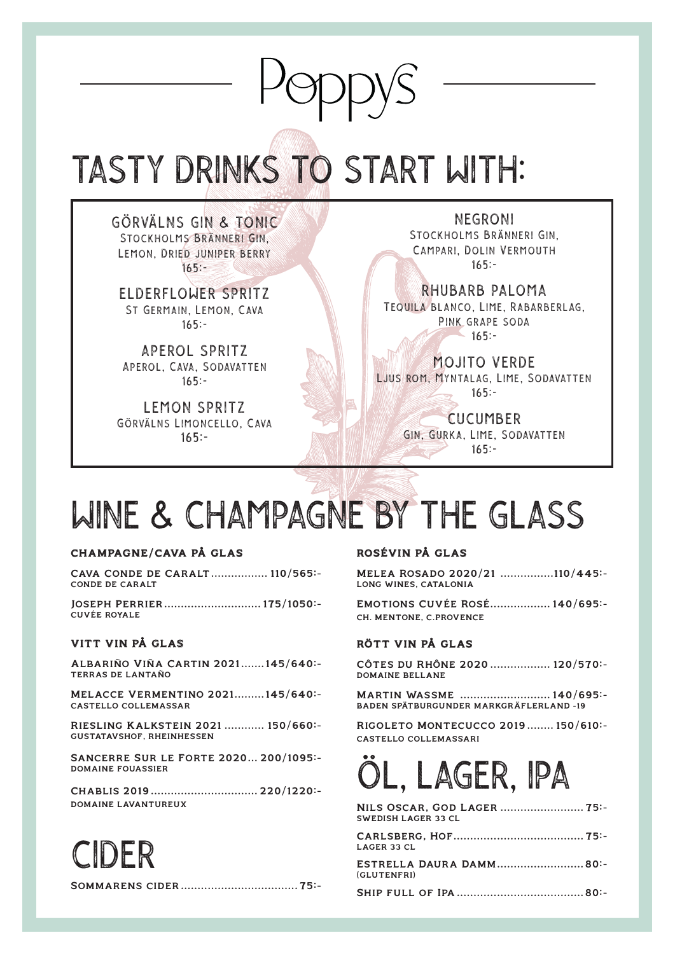## TASTY DRINKS TO START WITH:

GÖRVÄLNS GIN & TONIC Stockholms Bränneri Gin, Lemon, Dried juniper berry  $165: -$ 

ELDERFLOWER SPRITZ St Germain, Lemon, Cava 165:-

APEROL SPRITZ Aperol, Cava, Sodavatten 165:-

LEMON SPRITZ Görvälns Limoncello, Cava 165:-

NEGRONI Stockholms Bränneri Gin, Campari, Dolin Vermouth 165:-

RHUBARB PALOMA Tequila blanco, Lime, Rabarberlag, Pink grape soda 165:-

MOJITO VERDE Ljus rom, Myntalag, Lime, Sodavatten 165:-

> CUCUMBER Gin, Gurka, Lime, Sodavatten 165:-

## WINE & CHAMPAGNE BY THE GLASS

#### CHAMPAGNE/CAVA PÅ GLAS

Cava Conde de Caralt ................. 110/565:- CONDE DE CARALT

Joseph Perrier ............................. 175/1050:- CUVÉE ROYALE

#### VITT VIN PÅ GLAS

CIDER

Albariño Viña Cartin 2021.......145/640:- TERRAS DE LANTAÑO

Melacce Vermentino 2021.........145/640:- CASTELLO COLLEMASSAR

Riesling Kalkstein 2021 ............ 150/660:- GUSTATAVSHOF, RHEINHESSEN

Sancerre Sur le Forte 2020... 200/1095:- DOMAINE FOUASSIER

Chablis 2019 ................................ 220/1220:- DOMAINE LAVANTUREUX

ROSÉVIN PÅ GLAS

Melea Rosado 2020/21 ................110/445:- LONG WINES, CATALONIA

Emotions Cuvée Rosé.................. 140/695:- CH. MENTONE, C.PROVENCE

#### RÖTT VIN PÅ GLAS

Côtes du Rhône 2020 .................. 120/570:- DOMAINE BELLANE

Martin Wassme ........................... 140/695:- BADEN SPÄTBURGUNDER MARKGRÄFLERLAND -19

Rigoleto Montecucco 2019 ........ 150/610:- CASTELLO COLLEMASSARI

## ÖL, LAGER, IPA

| NILS OSCAR, GOD LAGER  75:-<br><b>SWEDISH LAGER 33 CL</b> |  |
|-----------------------------------------------------------|--|
| <b>LAGER 33 CL</b>                                        |  |
| ESTRELLA DAURA DAMM80:-<br>(GLUTENFRI)                    |  |
|                                                           |  |

Sommarens cider ................................... 75:-